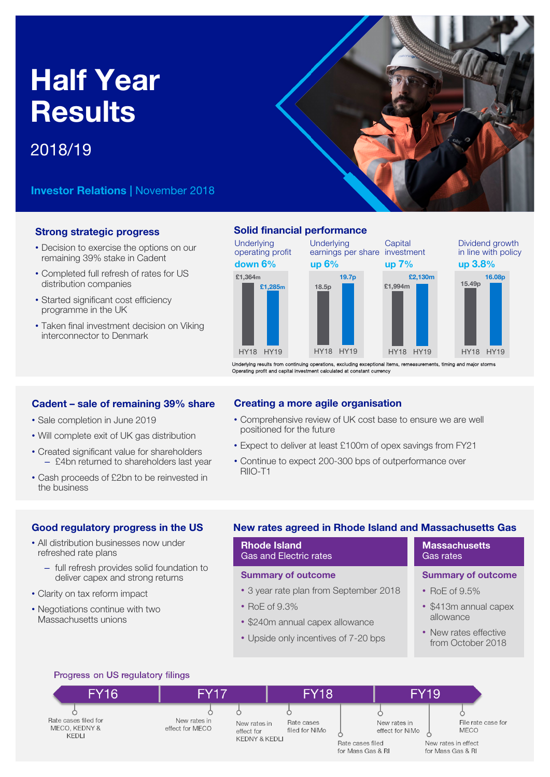# Half Year **Results**

# 2018/19

Investor Relations | November 2018

# Strong strategic progress

- Decision to exercise the options on our remaining 39% stake in Cadent
- Completed full refresh of rates for US distribution companies
- Started significant cost efficiency programme in the UK
- Taken final investment decision on Viking interconnector to Denmark

## Solid financial performance



Underlying results from continuing operations, excluding exceptional items, remeasurements, timing and major storms<br>Operating profit and capital investment calculated at constant currency

# Cadent – sale of remaining 39% share

- Sale completion in June 2019
- Will complete exit of UK gas distribution
- Created significant value for shareholders – £4bn returned to shareholders last year
- Cash proceeds of £2bn to be reinvested in the business

# Creating a more agile organisation

- Comprehensive review of UK cost base to ensure we are well positioned for the future
- Expect to deliver at least £100m of opex savings from FY21
- Continue to expect 200-300 bps of outperformance over RIIO-T1

# Good regulatory progress in the US

- All distribution businesses now under refreshed rate plans
	- full refresh provides solid foundation to deliver capex and strong returns
- Clarity on tax reform impact
- Negotiations continue with two Massachusetts unions

# New rates agreed in Rhode Island and Massachusetts Gas

# Rhode Island Gas and Electric rates

# Summary of outcome

- 3 year rate plan from September 2018
- RoE of 9.3%
- \$240m annual capex allowance
- Upside only incentives of 7-20 bps

#### **Massachusetts** Gas rates

# Summary of outcome

- RoE of 9.5%
- \$413m annual capex allowance
- New rates effective from October 2018

# Progress on US regulatory filings

| <b>FY16</b>                                    | <b>FY17</b>                     | <b>FY18</b>                                                                 |                                                                          | <b>FY19</b>                                                                   |
|------------------------------------------------|---------------------------------|-----------------------------------------------------------------------------|--------------------------------------------------------------------------|-------------------------------------------------------------------------------|
| Rate cases filed for<br>MECO, KEDNY &<br>KEDLI | New rates in<br>effect for MECO | Rate cases<br>New rates in<br>filed for NiMo<br>effect for<br>KEDNY & KEDLI | New rates in<br>effect for NiMo<br>Rate cases filed<br>for Mass Gas & RI | File rate case for<br><b>MECO</b><br>New rates in effect<br>for Mass Gas & RI |